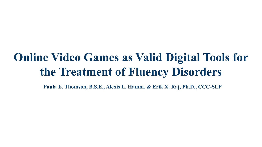# **Online Video Games as Valid Digital Tools for the Treatment of Fluency Disorders**

**Paula E. Thomson, B.S.E., Alexis L. Hamm, & Erik X. Raj, Ph.D., CCC-SLP**